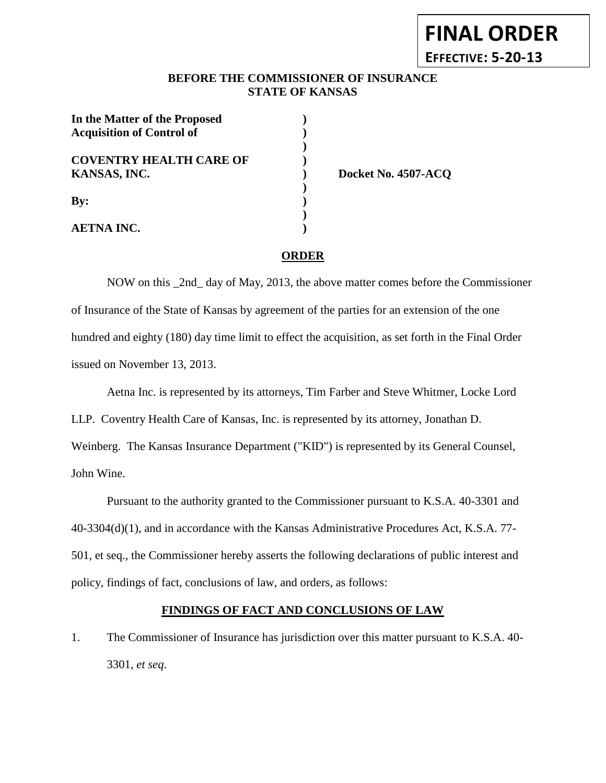# **FINAL ORDER EFFECTIVE: 5-20-13**

### **BEFORE THE COMMISSIONER OF INSURANCE STATE OF KANSAS**

| In the Matter of the Proposed<br><b>Acquisition of Control of</b> |  |
|-------------------------------------------------------------------|--|
| <b>COVENTRY HEALTH CARE OF</b><br>KANSAS, INC.                    |  |
| $\mathbf{By:}$                                                    |  |
| <b>AETNA INC.</b>                                                 |  |

**KANSAS, INC. ) Docket No. 4507-ACQ**

#### **ORDER**

NOW on this \_2nd\_ day of May, 2013, the above matter comes before the Commissioner of Insurance of the State of Kansas by agreement of the parties for an extension of the one hundred and eighty (180) day time limit to effect the acquisition, as set forth in the Final Order issued on November 13, 2013.

Aetna Inc. is represented by its attorneys, Tim Farber and Steve Whitmer, Locke Lord

LLP. Coventry Health Care of Kansas, Inc. is represented by its attorney, Jonathan D.

Weinberg. The Kansas Insurance Department ("KID") is represented by its General Counsel, John Wine.

Pursuant to the authority granted to the Commissioner pursuant to K.S.A. 40-3301 and 40-3304(d)(1), and in accordance with the Kansas Administrative Procedures Act, K.S.A. 77- 501, et seq., the Commissioner hereby asserts the following declarations of public interest and policy, findings of fact, conclusions of law, and orders, as follows:

#### **FINDINGS OF FACT AND CONCLUSIONS OF LAW**

1. The Commissioner of Insurance has jurisdiction over this matter pursuant to K.S.A. 40- 3301, *et seq*.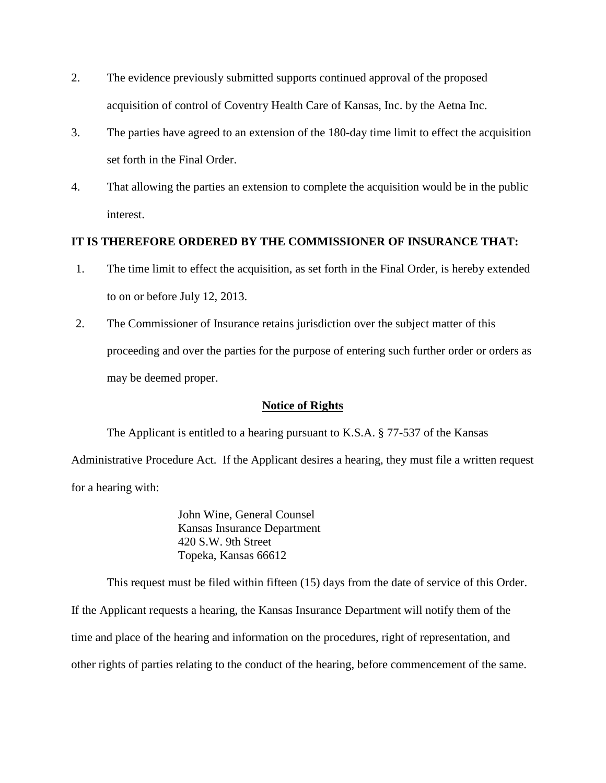- 2. The evidence previously submitted supports continued approval of the proposed acquisition of control of Coventry Health Care of Kansas, Inc. by the Aetna Inc.
- 3. The parties have agreed to an extension of the 180-day time limit to effect the acquisition set forth in the Final Order.
- 4. That allowing the parties an extension to complete the acquisition would be in the public interest.

## **IT IS THEREFORE ORDERED BY THE COMMISSIONER OF INSURANCE THAT:**

- 1. The time limit to effect the acquisition, as set forth in the Final Order, is hereby extended to on or before July 12, 2013.
- 2. The Commissioner of Insurance retains jurisdiction over the subject matter of this proceeding and over the parties for the purpose of entering such further order or orders as may be deemed proper.

## **Notice of Rights**

The Applicant is entitled to a hearing pursuant to K.S.A. § 77-537 of the Kansas Administrative Procedure Act. If the Applicant desires a hearing, they must file a written request for a hearing with:

> John Wine, General Counsel Kansas Insurance Department 420 S.W. 9th Street Topeka, Kansas 66612

This request must be filed within fifteen (15) days from the date of service of this Order. If the Applicant requests a hearing, the Kansas Insurance Department will notify them of the time and place of the hearing and information on the procedures, right of representation, and other rights of parties relating to the conduct of the hearing, before commencement of the same.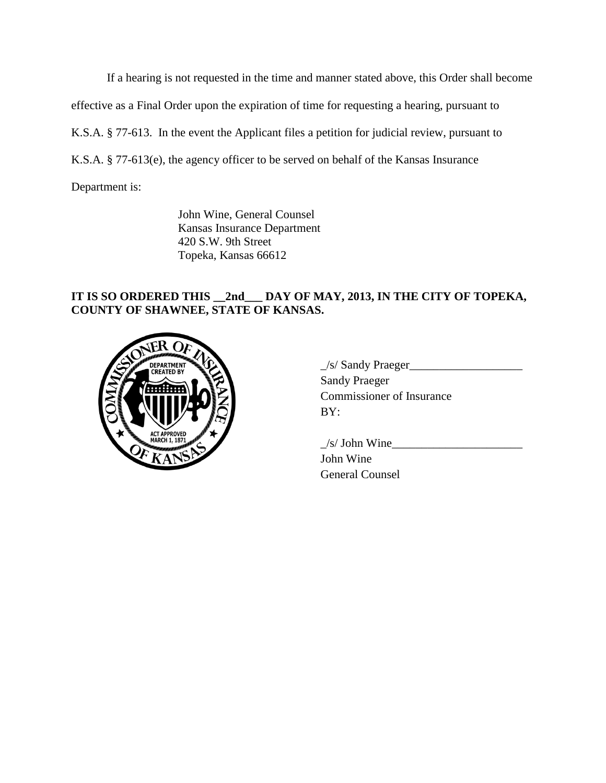If a hearing is not requested in the time and manner stated above, this Order shall become

effective as a Final Order upon the expiration of time for requesting a hearing, pursuant to

K.S.A. § 77-613. In the event the Applicant files a petition for judicial review, pursuant to

K.S.A. § 77-613(e), the agency officer to be served on behalf of the Kansas Insurance

Department is:

John Wine, General Counsel Kansas Insurance Department 420 S.W. 9th Street Topeka, Kansas 66612

# **IT IS SO ORDERED THIS \_\_2nd\_\_\_ DAY OF MAY, 2013, IN THE CITY OF TOPEKA, COUNTY OF SHAWNEE, STATE OF KANSAS.**



| $\angle$ s/ Sandy Praeger        |
|----------------------------------|
| <b>Sandy Praeger</b>             |
| <b>Commissioner of Insurance</b> |
| BY:                              |
|                                  |

 $\angle$ s/ John Wine $\angle$ John Wine General Counsel